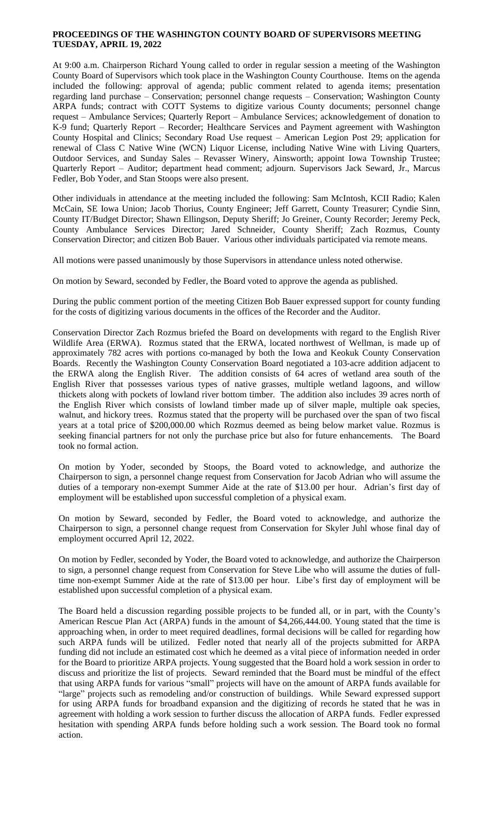## **PROCEEDINGS OF THE WASHINGTON COUNTY BOARD OF SUPERVISORS MEETING TUESDAY, APRIL 19, 2022**

At 9:00 a.m. Chairperson Richard Young called to order in regular session a meeting of the Washington County Board of Supervisors which took place in the Washington County Courthouse. Items on the agenda included the following: approval of agenda; public comment related to agenda items; presentation regarding land purchase – Conservation; personnel change requests – Conservation; Washington County ARPA funds; contract with COTT Systems to digitize various County documents; personnel change request – Ambulance Services; Quarterly Report – Ambulance Services; acknowledgement of donation to K-9 fund; Quarterly Report – Recorder; Healthcare Services and Payment agreement with Washington County Hospital and Clinics; Secondary Road Use request – American Legion Post 29; application for renewal of Class C Native Wine (WCN) Liquor License, including Native Wine with Living Quarters, Outdoor Services, and Sunday Sales – Revasser Winery, Ainsworth; appoint Iowa Township Trustee; Quarterly Report – Auditor; department head comment; adjourn. Supervisors Jack Seward, Jr., Marcus Fedler, Bob Yoder, and Stan Stoops were also present.

Other individuals in attendance at the meeting included the following: Sam McIntosh, KCII Radio; Kalen McCain, SE Iowa Union; Jacob Thorius, County Engineer; Jeff Garrett, County Treasurer; Cyndie Sinn, County IT/Budget Director; Shawn Ellingson, Deputy Sheriff; Jo Greiner, County Recorder; Jeremy Peck, County Ambulance Services Director; Jared Schneider, County Sheriff; Zach Rozmus, County Conservation Director; and citizen Bob Bauer. Various other individuals participated via remote means.

All motions were passed unanimously by those Supervisors in attendance unless noted otherwise.

On motion by Seward, seconded by Fedler, the Board voted to approve the agenda as published.

During the public comment portion of the meeting Citizen Bob Bauer expressed support for county funding for the costs of digitizing various documents in the offices of the Recorder and the Auditor.

Conservation Director Zach Rozmus briefed the Board on developments with regard to the English River Wildlife Area (ERWA). Rozmus stated that the ERWA, located northwest of Wellman, is made up of approximately 782 acres with portions co-managed by both the Iowa and Keokuk County Conservation Boards. Recently the Washington County Conservation Board negotiated a 103-acre addition adjacent to the ERWA along the English River. The addition consists of 64 acres of wetland area south of the English River that possesses various types of native grasses, multiple wetland lagoons, and willow thickets along with pockets of lowland river bottom timber. The addition also includes 39 acres north of the English River which consists of lowland timber made up of silver maple, multiple oak species, walnut, and hickory trees. Rozmus stated that the property will be purchased over the span of two fiscal years at a total price of \$200,000.00 which Rozmus deemed as being below market value. Rozmus is seeking financial partners for not only the purchase price but also for future enhancements. The Board took no formal action.

On motion by Yoder, seconded by Stoops, the Board voted to acknowledge, and authorize the Chairperson to sign, a personnel change request from Conservation for Jacob Adrian who will assume the duties of a temporary non-exempt Summer Aide at the rate of \$13.00 per hour. Adrian's first day of employment will be established upon successful completion of a physical exam.

On motion by Seward, seconded by Fedler, the Board voted to acknowledge, and authorize the Chairperson to sign, a personnel change request from Conservation for Skyler Juhl whose final day of employment occurred April 12, 2022.

On motion by Fedler, seconded by Yoder, the Board voted to acknowledge, and authorize the Chairperson to sign, a personnel change request from Conservation for Steve Libe who will assume the duties of fulltime non-exempt Summer Aide at the rate of \$13.00 per hour. Libe's first day of employment will be established upon successful completion of a physical exam.

The Board held a discussion regarding possible projects to be funded all, or in part, with the County's American Rescue Plan Act (ARPA) funds in the amount of \$4,266,444.00. Young stated that the time is approaching when, in order to meet required deadlines, formal decisions will be called for regarding how such ARPA funds will be utilized. Fedler noted that nearly all of the projects submitted for ARPA funding did not include an estimated cost which he deemed as a vital piece of information needed in order for the Board to prioritize ARPA projects. Young suggested that the Board hold a work session in order to discuss and prioritize the list of projects. Seward reminded that the Board must be mindful of the effect that using ARPA funds for various "small" projects will have on the amount of ARPA funds available for "large" projects such as remodeling and/or construction of buildings. While Seward expressed support for using ARPA funds for broadband expansion and the digitizing of records he stated that he was in agreement with holding a work session to further discuss the allocation of ARPA funds. Fedler expressed hesitation with spending ARPA funds before holding such a work session. The Board took no formal action.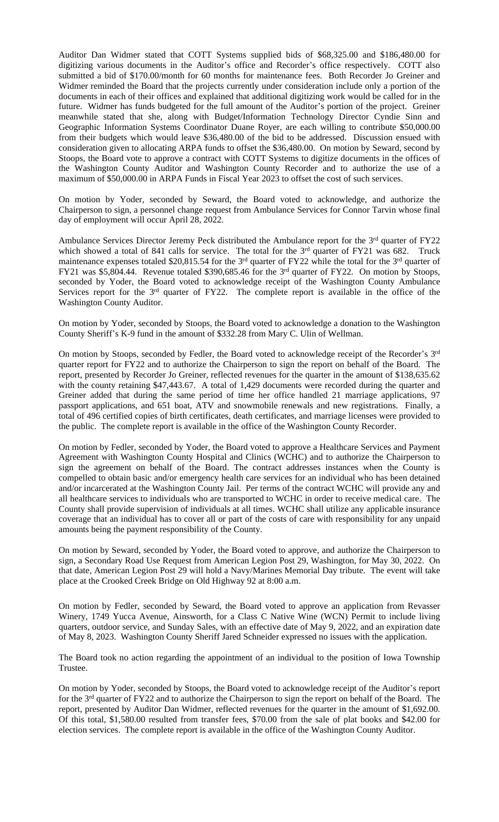Auditor Dan Widmer stated that COTT Systems supplied bids of \$68,325.00 and \$186,480.00 for digitizing various documents in the Auditor's office and Recorder's office respectively. COTT also submitted a bid of \$170.00/month for 60 months for maintenance fees. Both Recorder Jo Greiner and Widmer reminded the Board that the projects currently under consideration include only a portion of the documents in each of their offices and explained that additional digitizing work would be called for in the future. Widmer has funds budgeted for the full amount of the Auditor's portion of the project. Greiner meanwhile stated that she, along with Budget/Information Technology Director Cyndie Sinn and Geographic Information Systems Coordinator Duane Royer, are each willing to contribute \$50,000.00 from their budgets which would leave \$36,480.00 of the bid to be addressed. Discussion ensued with consideration given to allocating ARPA funds to offset the \$36,480.00. On motion by Seward, second by Stoops, the Board vote to approve a contract with COTT Systems to digitize documents in the offices of the Washington County Auditor and Washington County Recorder and to authorize the use of a maximum of \$50,000.00 in ARPA Funds in Fiscal Year 2023 to offset the cost of such services.

On motion by Yoder, seconded by Seward, the Board voted to acknowledge, and authorize the Chairperson to sign, a personnel change request from Ambulance Services for Connor Tarvin whose final day of employment will occur April 28, 2022.

Ambulance Services Director Jeremy Peck distributed the Ambulance report for the 3<sup>rd</sup> quarter of FY22 which showed a total of 841 calls for service. The total for the 3<sup>rd</sup> quarter of FY21 was 682. Truck maintenance expenses totaled \$20,815.54 for the 3<sup>rd</sup> quarter of FY22 while the total for the 3<sup>rd</sup> quarter of FY21 was \$5,804.44. Revenue totaled \$390,685.46 for the 3<sup>rd</sup> quarter of FY22. On motion by Stoops, seconded by Yoder, the Board voted to acknowledge receipt of the Washington County Ambulance Services report for the 3<sup>rd</sup> quarter of FY22. The complete report is available in the office of the Washington County Auditor.

On motion by Yoder, seconded by Stoops, the Board voted to acknowledge a donation to the Washington County Sheriff's K-9 fund in the amount of \$332.28 from Mary C. Ulin of Wellman.

On motion by Stoops, seconded by Fedler, the Board voted to acknowledge receipt of the Recorder's 3rd quarter report for FY22 and to authorize the Chairperson to sign the report on behalf of the Board. The report, presented by Recorder Jo Greiner, reflected revenues for the quarter in the amount of \$138,635.62 with the county retaining \$47,443.67. A total of 1,429 documents were recorded during the quarter and Greiner added that during the same period of time her office handled 21 marriage applications, 97 passport applications, and 651 boat, ATV and snowmobile renewals and new registrations. Finally, a total of 496 certified copies of birth certificates, death certificates, and marriage licenses were provided to the public. The complete report is available in the office of the Washington County Recorder.

On motion by Fedler, seconded by Yoder, the Board voted to approve a Healthcare Services and Payment Agreement with Washington County Hospital and Clinics (WCHC) and to authorize the Chairperson to sign the agreement on behalf of the Board. The contract addresses instances when the County is compelled to obtain basic and/or emergency health care services for an individual who has been detained and/or incarcerated at the Washington County Jail. Per terms of the contract WCHC will provide any and all healthcare services to individuals who are transported to WCHC in order to receive medical care. The County shall provide supervision of individuals at all times. WCHC shall utilize any applicable insurance coverage that an individual has to cover all or part of the costs of care with responsibility for any unpaid amounts being the payment responsibility of the County.

On motion by Seward, seconded by Yoder, the Board voted to approve, and authorize the Chairperson to sign, a Secondary Road Use Request from American Legion Post 29, Washington, for May 30, 2022. On that date, American Legion Post 29 will hold a Navy/Marines Memorial Day tribute. The event will take place at the Crooked Creek Bridge on Old Highway 92 at 8:00 a.m.

On motion by Fedler, seconded by Seward, the Board voted to approve an application from Revasser Winery, 1749 Yucca Avenue, Ainsworth, for a Class C Native Wine (WCN) Permit to include living quarters, outdoor service, and Sunday Sales, with an effective date of May 9, 2022, and an expiration date of May 8, 2023. Washington County Sheriff Jared Schneider expressed no issues with the application.

The Board took no action regarding the appointment of an individual to the position of Iowa Township Trustee.

On motion by Yoder, seconded by Stoops, the Board voted to acknowledge receipt of the Auditor's report for the 3<sup>rd</sup> quarter of FY22 and to authorize the Chairperson to sign the report on behalf of the Board. The report, presented by Auditor Dan Widmer, reflected revenues for the quarter in the amount of \$1,692.00. Of this total, \$1,580.00 resulted from transfer fees, \$70.00 from the sale of plat books and \$42.00 for election services. The complete report is available in the office of the Washington County Auditor.